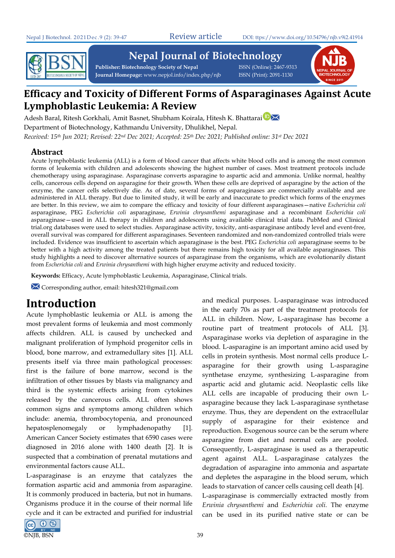

**Nepal Journal of Biotechnology** 

**Publisher: Biotechnology Society of Nepal** ISSN (Online): 2467-9313 **Journal Homepage:** www.nepjol.info/index.php/njb ISSN (Print): 2091-1130



# **Efficacy and Toxicity of Different Forms of Asparaginases Against Acute Lymphoblastic Leukemia: A Review**

Adesh Baral, Ritesh Gorkhali, Amit Basnet, Shubham Koirala, Hitesh K. Bhattarai<sup>D</sup> Department of Biotechnology, Kathmandu University, Dhulikhel, Nepal. *Received: 15th Jun 2021; Revised: 22nd Dec 2021; Accepted: 25th Dec 2021; Published online: 31st Dec 2021*

## **Abstract**

Acute lymphoblastic leukemia (ALL) is a form of blood cancer that affects white blood cells and is among the most common forms of leukemia with children and adolescents showing the highest number of cases. Most treatment protocols include chemotherapy using asparaginase. Asparaginase converts asparagine to aspartic acid and ammonia. Unlike normal, healthy cells, cancerous cells depend on asparagine for their growth. When these cells are deprived of asparagine by the action of the enzyme, the cancer cells selectively die. As of date, several forms of asparaginases are commercially available and are administered in ALL therapy. But due to limited study, it will be early and inaccurate to predict which forms of the enzymes are better. In this review, we aim to compare the efficacy and toxicity of four different asparaginases—native *Escherichia coli* asparaginase, PEG *Escherichia coli* asparaginase, *Erwinia chrysanthemi* asparaginase and a recombinant *Escherichia coli* asparaginase—used in ALL therapy in children and adolescents using available clinical trial data. PubMed and Clinical trial.org databases were used to select studies. Asparaginase activity, toxicity, anti-asparaginase antibody level and event-free, overall survival was compared for different asparaginases. Seventeen randomized and non-randomized controlled trials were included. Evidence was insufficient to ascertain which asparaginase is the best. PEG *Escherichia coli* asparaginase seems to be better with a high activity among the treated patients but there remains high toxicity for all available asparaginases. This study highlights a need to discover alternative sources of asparaginase from the organisms, which are evolutionarily distant from *Escherichia coli* and *Erwinia chrysanthemi* with high higher enzyme activity and reduced toxicity.

**Keywords:** Efficacy, Acute lymphoblastic Leukemia, Asparaginase, Clinical trials.

Corresponding author, email: hitesh321@gmail.com

# **Introduction**

Acute lymphoblastic leukemia or ALL is among the most prevalent forms of leukemia and most commonly affects children. ALL is caused by unchecked and malignant proliferation of lymphoid progenitor cells in blood, bone marrow, and extramedullary sites [1]. ALL presents itself via three main pathological processes: first is the failure of bone marrow, second is the infiltration of other tissues by blasts via malignancy and third is the systemic effects arising from cytokines released by the cancerous cells. ALL often shows common signs and symptoms among children which include: anemia, thrombocytopenia, and pronounced hepatosplenomegaly or lymphadenopathy [1]. American Cancer Society estimates that 6590 cases were diagnosed in 2016 alone with 1400 death [2]. It is suspected that a combination of prenatal mutations and environmental factors cause ALL.

L-asparaginase is an enzyme that catalyzes the formation aspartic acid and ammonia from asparagine. It is commonly produced in bacteria, but not in humans. Organisms produce it in the course of their normal life cycle and it can be extracted and purified for industrial



and medical purposes. L-asparaginase was introduced in the early 70s as part of the treatment protocols for ALL in children. Now, L-asparaginase has become a routine part of treatment protocols of ALL [3]. Asparaginase works via depletion of asparagine in the blood. L-asparagine is an important amino acid used by cells in protein synthesis. Most normal cells produce Lasparagine for their growth using L-asparagine synthetase enzyme, synthesizing L-asparagine from aspartic acid and glutamic acid. Neoplastic cells like ALL cells are incapable of producing their own Lasparagine because they lack L-asparaginase synthetase enzyme. Thus, they are dependent on the extracellular supply of asparagine for their existence and reproduction. Exogenous source can be the serum where asparagine from diet and normal cells are pooled. Consequently, L-asparaginase is used as a therapeutic agent against ALL. L-asparaginase catalyzes the degradation of asparagine into ammonia and aspartate and depletes the asparagine in the blood serum, which leads to starvation of cancer cells causing cell death [4]. L-asparaginase is commercially extracted mostly from *Erwinia chrysanthemi* and *Escherichia coli.* The enzyme can be used in its purified native state or can be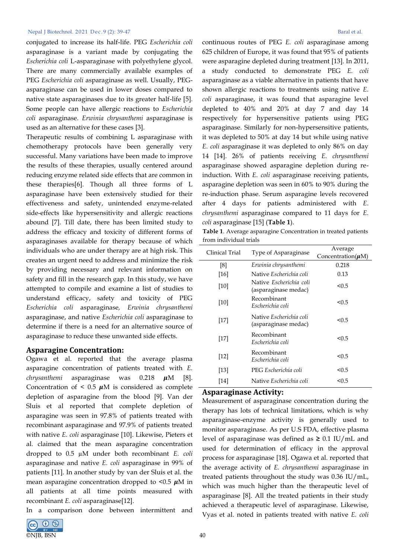conjugated to increase its half-life. PEG *Escherichia coli* asparaginase is a variant made by conjugating the *Escherichia coli* L-asparaginase with polyethylene glycol. There are many commercially available examples of PEG *Escherichia coli* asparaginase as well. Usually, PEGasparaginase can be used in lower doses compared to native state asparaginases due to its greater half-life [5]. Some people can have allergic reactions to *Escherichia coli* asparaginase. *Erwinia chrysanthemi* asparaginase is used as an alternative for these cases [3].

Therapeutic results of combining L asparaginase with chemotherapy protocols have been generally very successful. Many variations have been made to improve the results of these therapies, usually centered around reducing enzyme related side effects that are common in these therapies[6]. Though all three forms of L asparaginase have been extensively studied for their effectiveness and safety, unintended enzyme-related side-effects like hypersensitivity and allergic reactions abound [7]. Till date, there has been limited study to address the efficacy and toxicity of different forms of asparaginases available for therapy because of which individuals who are under therapy are at high risk. This creates an urgent need to address and minimize the risk by providing necessary and relevant information on safety and fill in the research gap. In this study, we have attempted to compile and examine a list of studies to understand efficacy, safety and toxicity of PEG *Escherichia coli* asparaginase*, Erwinia chrysanthemi* asparaginase, and native *Escherichia coli* asparaginase to determine if there is a need for an alternative source of asparaginase to reduce these unwanted side effects.

### **Asparagine Concentration:**

Ogawa et al. reported that the average plasma asparagine concentration of patients treated with *E. chrysanthemi* asparaginase was 0.218  $\mu$ M [8]. Concentration of  $\leq$  0.5  $\mu$ M is considered as complete depletion of asparagine from the blood [9]. Van der Sluis et al reported that complete depletion of asparagine was seen in 97.8% of patients treated with recombinant asparaginase and 97.9% of patients treated with native *E. coli* asparaginase [10]. Likewise, Pieters et al. claimed that the mean asparagine concentration dropped to 0.5 µM under both recombinant *E. coli* asparaginase and native *E. coli* asparaginase in 99% of patients [11]. In another study by van der Sluis et al. the mean asparagine concentration dropped to  $< 0.5 \mu M$  in all patients at all time points measured with recombinant *E. coli* asparaginase[12].

In a comparison done between intermittent and



continuous routes of PEG *E. coli* asparaginase among 625 children of Europe, it was found that 95% of patients were asparagine depleted during treatment [13]. In 2011, a study conducted to demonstrate PEG *E. coli* asparaginase as a viable alternative in patients that have shown allergic reactions to treatments using native *E. coli* asparaginase, it was found that asparagine level depleted to 40% and 20% at day 7 and day 14 respectively for hypersensitive patients using PEG asparaginase. Similarly for non-hypersensitive patients, it was depleted to 50% at day 14 but while using native *E. coli* asparaginase it was depleted to only 86% on day 14 [14]. 26% of patients receiving *E. chrysanthemi* asparaginase showed asparagine depletion during reinduction. With *E. coli* asparaginase receiving patients, asparagine depletion was seen in 60% to 90% during the re-induction phase. Serum asparagine levels recovered after 4 days for patients administered with *E*. *chrysanthemi* asparaginase compared to 11 days for *E. coli* asparaginase [15] (**Table 1**).

**Table 1**. Average asparagine Concentration in treated patients from individual trials

| Clinical Trial | Type of Asparaginase                            | Average<br>Concentration( $\mu$ M) |
|----------------|-------------------------------------------------|------------------------------------|
| [8]            | Erwinia chrysanthemi                            | 0.218                              |
| [16]           | Native Escherichia coli                         | 0.13                               |
| [10]           | Native Escherichia coli<br>(asparaginase medac) | < 0.5                              |
| [10]           | Recombinant<br>Escherichia coli                 | < 0.5                              |
| [17]           | Native Escherichia coli<br>(asparaginase medac) | < 0.5                              |
| [17]           | Recombinant<br>Escherichia coli                 | < 0.5                              |
| $[12]$         | Recombinant<br>Escherichia coli                 | < 0.5                              |
| [13]           | PEG Escherichia coli                            | < 0.5                              |
| [14]           | Native Escherichia coli                         | < 0.5                              |

### **Asparaginase Activity:**

Measurement of asparaginase concentration during the therapy has lots of technical limitations, which is why asparaginase-enzyme activity is generally used to monitor asparaginase. As per U.S FDA, effective plasma level of asparaginase was defined as **≥** 0.1 IU/mL and used for determination of efficacy in the approval process for asparaginase [18]. Ogawa et al. reported that the average activity of *E. chrysanthemi* asparaginase in treated patients throughout the study was 0.36 IU/mL, which was much higher than the therapeutic level of asparaginase [8]. All the treated patients in their study achieved a therapeutic level of asparaginase. Likewise, Vyas et al. noted in patients treated with native *E. coli*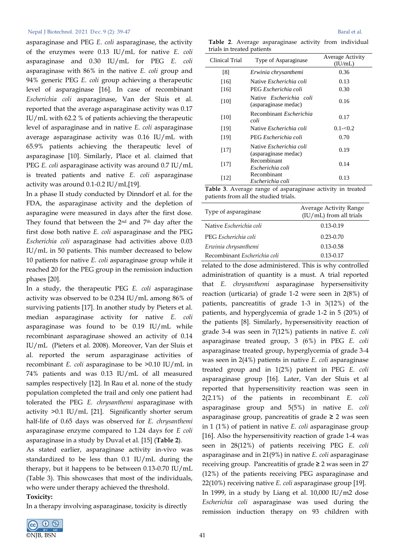asparaginase and PEG *E. coli* asparaginase, the activity of the enzymes were 0.13 IU/mL for native *E. coli*  asparaginase and 0.30 IU/mL for PEG *E. coli*  asparaginase with 86% in the native *E. coli* group and 94% generic PEG *E. coli* group achieving a therapeutic level of asparaginase [16]. In case of recombinant *Escherichia coli* asparaginase, Van der Sluis et al. reported that the average asparaginase activity was 0.17 IU/mL with 62.2 % of patients achieving the therapeutic level of asparaginase and in native *E. coli* asparaginase average asparaginase activity was 0.16 IU/mL with 65.9% patients achieving the therapeutic level of asparaginase [10]. Similarly, Place et al. claimed that PEG *E. coli* asparaginase activity was around 0.7 IU/mL is treated patients and native *E. coli* asparaginase activity was around 0.1-0.2 IU/mL[19].

In a phase II study conducted by Dinndorf et al. for the FDA, the asparaginase activity and the depletion of asparagine were measured in days after the first dose. They found that between the  $2<sup>nd</sup>$  and  $7<sup>th</sup>$  day after the first dose both native *E. coli* asparaginase and the PEG *Escherichia coli* asparaginase had activities above 0.03 IU/mL in 50 patients. This number decreased to below 10 patients for native *E. coli* asparaginase group while it reached 20 for the PEG group in the remission induction phases [20].

In a study, the therapeutic PEG *E. coli* asparaginase activity was observed to be 0.234 IU/mL among 86% of surviving patients [17]. In another study by Pieters et al. median asparaginase activity for native *E. coli* asparaginase was found to be 0.19 IU/mL while recombinant asparaginase showed an activity of 0.14 IU/mL (Pieters et al. 2008). Moreover, Van der Sluis et al. reported the serum asparaginase activities of recombinant *E. coli* asparaginase to be >0.10 IU/mL in 74% patients and was 0.13 IU/mL of all measured samples respectively [12]. In Rau et al. none of the study population completed the trail and only one patient had tolerated the PEG *E. chrysanthemi* asparaginase with activity >0.1 IU/mL [21]. Significantly shorter serum half-life of 0.65 days was observed for *E. chrysanthemi* asparaginase enzyme compared to 1.24 days for *E coli* asparaginase in a study by Duval et al. [15] (**Table 2**).

As stated earlier, asparaginase activity in-vivo was standardized to be less than 0.1 IU/mL during the therapy, but it happens to be between 0.13-0.70 IU/mL (Table 3). This showcases that most of the individuals, who were under therapy achieved the threshold. **Toxicity:**

In a therapy involving asparaginase, toxicity is directly



|  |                            | Table 2. Average asparaginase activity from individual |  |  |
|--|----------------------------|--------------------------------------------------------|--|--|
|  | trials in treated patients |                                                        |  |  |

| Clinical Trial | Type of Asparaginase                                   | Average Activity<br>(IU/mL) |
|----------------|--------------------------------------------------------|-----------------------------|
| [8]            | Erwinia chrysanthemi                                   | 0.36                        |
| [16]           | Native <i>Escherichia coli</i>                         | 0.13                        |
| [16]           | PEG Escherichia coli                                   | 0.30                        |
| [10]           | Native Escherichia coli<br>(asparaginase medac)        | 0.16                        |
| [10]           | Recombinant <i>Escherichia</i><br>coli                 | 0.17                        |
| [19]           | Native Escherichia coli                                | $0.1 - 0.2$                 |
| [19]           | PEG Escherichia coli                                   | 0.70                        |
| [17]           | Native <i>Escherichia coli</i><br>(asparaginase medac) | 0.19                        |
| $[17]$         | Recombinant<br>Escherichia coli                        | 0.14                        |
| [12]           | Recombinant<br>Escherichia coli                        | 0.13                        |

**Table 3**. Average range of asparaginase activity in treated patients from all the studied trials.

| Type of asparaginase         | Average Activity Range<br>(IU/mL) from all trials |
|------------------------------|---------------------------------------------------|
| Native Escherichia coli      | $0.13 - 0.19$                                     |
| PEG Escherichia coli         | $0.23 - 0.70$                                     |
| Erwinia chrysanthemi         | $0.13 - 0.58$                                     |
| Recombinant Escherichia coli | $0.13 - 0.17$                                     |

related to the dose administered. This is why controlled administration of quantity is a must. A trial reported that *E. chrysanthemi* asparaginase hypersensitivity reaction (urticaria) of grade 1-2 were seen in 2(8%) of patients, pancreatitis of grade 1-3 in 3(12%) of the patients, and hyperglycemia of grade 1-2 in 5 (20%) of the patients [8]. Similarly, hypersensitivity reaction of grade 3-4 was seen in 7(12%) patients in native *E. coli* asparaginase treated group, 3 (6%) in PEG *E. coli* asparaginase treated group, hyperglycemia of grade 3-4 was seen in 2(4%) patients in native *E. coli* asparaginase treated group and in 1(2%) patient in PEG *E. coli* asparaginase group [16]. Later, Van der Sluis et al reported that hypersensitivity reaction was seen in 2(2.1%) of the patients in recombinant *E. coli* asparaginase group and 5(5%) in native *E. coli* asparaginase group, pancreatitis of grade **≥** 2 was seen in 1 (1%) of patient in native *E. coli* asparaginase group [16]. Also the hypersensitivity reaction of grade 1-4 was seen in 28(12%) of patients receiving PEG *E. coli* asparaginase and in 21(9%) in native *E. coli* asparaginase receiving group. Pancreatitis of grade **≥** 2 was seen in 27 (12%) of the patients receiving PEG asparaginase and 22(10%) receiving native *E. coli* asparaginase group [19]. In 1999, in a study by Liang et al.  $10,000$  IU/m2 dose *Escherichia coli* asparaginase was used during the remission induction therapy on 93 children with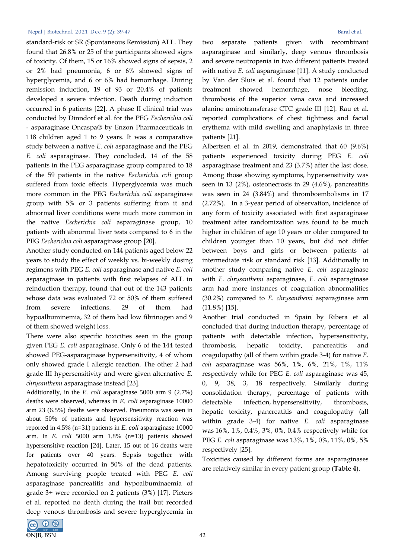standard-risk or SR (Spontaneous Remission) ALL. They found that 26.8% or 25 of the participants showed signs of toxicity. Of them, 15 or 16% showed signs of sepsis, 2 or 2% had pneumonia, 6 or 6% showed signs of hyperglycemia, and 6 or 6% had hemorrhage. During remission induction, 19 of 93 or 20.4% of patients developed a severe infection. Death during induction occurred in 6 patients [22]. A phase II clinical trial was conducted by Dinndorf et al. for the PEG *Escherichia coli* - asparaginase Oncaspa® by Enzon Pharmaceuticals in 118 children aged 1 to 9 years. It was a comparative study between a native *E. coli* asparaginase and the PEG *E. coli* asparaginase. They concluded, 14 of the 58 patients in the PEG asparaginase group compared to 18 of the 59 patients in the native *Escherichia coli* group suffered from toxic effects. Hyperglycemia was much more common in the PEG *Escherichia coli* asparaginase group with 5% or 3 patients suffering from it and abnormal liver conditions were much more common in the native *Escherichia coli* asparaginase group, 10 patients with abnormal liver tests compared to 6 in the PEG *Escherichia coli* asparaginase group [20].

Another study conducted on 144 patients aged below 22 years to study the effect of weekly vs. bi-weekly dosing regimens with PEG *E. coli* asparaginase and native *E. coli* asparaginase in patients with first relapses of ALL in reinduction therapy, found that out of the 143 patients whose data was evaluated 72 or 50% of them suffered from severe infections. 29 of them had hypoalbuminemia, 32 of them had low fibrinogen and 9 of them showed weight loss.

There were also specific toxicities seen in the group given PEG *E. coli* asparaginase. Only 6 of the 144 tested showed PEG-asparaginase hypersensitivity, 4 of whom only showed grade I allergic reaction. The other 2 had grade III hypersensitivity and were given alternative *E. chrysanthemi* asparaginase instead [23].

Additionally, in the *E. coli* asparaginase 5000 arm 9 (2.7%) deaths were observed, whereas in *E. coli* asparaginase 10000 arm 23 (6.5%) deaths were observed. Pneumonia was seen in about 50% of patients and hypersensitivity reaction was reported in 4.5% (n=31) patients in *E. coli* asparaginase 10000 arm. In *E. coli* 5000 arm 1.8% (n=13) patients showed hypersensitive reaction [24]. Later, 15 out of 16 deaths were for patients over 40 years. Sepsis together with hepatotoxicity occurred in 50% of the dead patients. Among surviving people treated with PEG *E. coli* asparaginase pancreatitis and hypoalbuminaemia of grade 3+ were recorded on 2 patients (3%) [17]. Pieters et al. reported no death during the trail but recorded deep venous thrombosis and severe hyperglycemia in

two separate patients given with recombinant asparaginase and similarly, deep venous thrombosis and severe neutropenia in two different patients treated with native *E. coli* asparaginase [11]. A study conducted by Van der Sluis et al. found that 12 patients under treatment showed hemorrhage, nose bleeding, thrombosis of the superior vena cava and increased alanine aminotransferase CTC grade III [12]. Rau et al. reported complications of chest tightness and facial erythema with mild swelling and anaphylaxis in three patients [21].

Albertsen et al. in 2019, demonstrated that 60 (9.6%) patients experienced toxicity during PEG *E. coli* asparaginase treatment and 23 (3.7%) after the last dose. Among those showing symptoms, hypersensitivity was seen in 13 (2%), osteonecrosis in 29 (4.6%), pancreatitis was seen in 24 (3.84%) and thromboembolisms in 17 (2.72%). In a 3-year period of observation, incidence of any form of toxicity associated with first asparaginase treatment after randomization was found to be much higher in children of age 10 years or older compared to children younger than 10 years, but did not differ between boys and girls or between patients at intermediate risk or standard risk [13]. Additionally in another study comparing native *E. coli* asparaginase with *E. chrysanthemi* asparaginase, *E. coli* asparaginase arm had more instances of coagulation abnormalities (30.2%) compared to *E. chrysanthemi* asparaginase arm (11.8%) [15].

Another trial conducted in Spain by Ribera et al concluded that during induction therapy, percentage of patients with detectable infection, hypersensitivity, thrombosis, hepatic toxicity, pancreatitis and coagulopathy (all of them within grade 3-4) for native *E. coli* asparaginase was 56%, 1%, 6%, 21%, 1%, 11% respectively while for PEG *E. coli* asparaginase was 45, 0, 9, 38, 3, 18 respectively. Similarly during consolidation therapy, percentage of patients with detectable infection, hypersensitivity, thrombosis, hepatic toxicity, pancreatitis and coagulopathy (all within grade 3-4) for native *E. coli* asparaginase was 16%, 1%, 0.4%, 3%, 0%, 0.4% respectively while for PEG *E. coli* asparaginase was 13%, 1%, 0%, 11%, 0%, 5% respectively [25].

Toxicities caused by different forms are asparaginases are relatively similar in every patient group (**Table 4**).

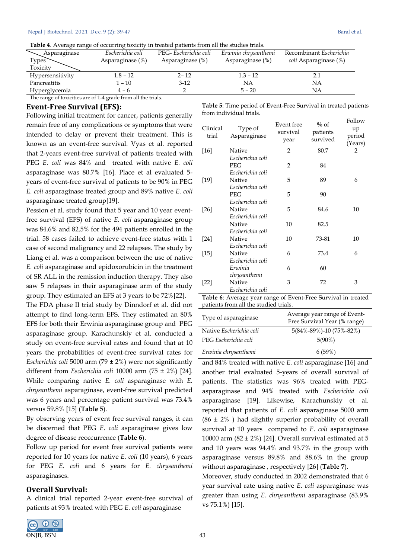**Table 4**. Average range of occurring toxicity in treated patients from all the studies trials.

| Asparaginase     | Escherichia coli    | PEG-Escherichia coli | Erwinia chrysanthemi | Recombinant Escherichia      |
|------------------|---------------------|----------------------|----------------------|------------------------------|
| <b>Types</b>     | Asparaginase $(\%)$ | Asparaginase $(\%)$  | Asparaginase (%)     | <i>coli</i> Asparaginase (%) |
| Toxicity         |                     |                      |                      |                              |
| Hypersensitivity | $1.8 - 12$          | $2 - 12$             | $1.3 - 12$           | 2.1                          |
| Pancreatitis     | 1 – 10              | $3-12$               | NΑ                   | NA                           |
| Hyperglycemia    | $4 - 6$             |                      | $5 - 20$             | NA                           |
| $-$              | .<br>.<br>.         |                      |                      |                              |

The range of toxicities are of 1-4 grade from all the trials.

### **Event-Free Survival (EFS):**

Following initial treatment for cancer, patients generally remain free of any complications or symptoms that were intended to delay or prevent their treatment. This is known as an event-free survival. Vyas et al. reported that 2-years event-free survival of patients treated with PEG *E. coli* was 84% and treated with native *E. coli* asparaginase was 80.7% [16]. Place et al evaluated 5 years of event-free survival of patients to be 90% in PEG *E. coli* asparaginase treated group and 89% native *E. coli* asparaginase treated group[19].

Pession et al. study found that 5 year and 10 year eventfree survival (EFS) of native *E. coli* asparaginase group was 84.6% and 82.5% for the 494 patients enrolled in the trial. 58 cases failed to achieve event-free status with 1 case of second malignancy and 22 relapses. The study by Liang et al. was a comparison between the use of native *E. coli* asparaginase and epidoxorubicin in the treatment of SR ALL in the remission induction therapy. They also saw 5 relapses in their asparaginase arm of the study group. They estimated an EFS at 3 years to be 72%[22].

The FDA phase II trial study by Dinndorf et al. did not attempt to find long-term EFS. They estimated an 80% EFS for both their Erwinia asparaginase group and PEG asparaginase group. Karachunskiy et al. conducted a study on event-free survival rates and found that at 10 years the probabilities of event-free survival rates for *Escherichia coli* 5000 arm (79 ± 2%) were not significantly different from *Escherichia coli* 10000 arm (75 ± 2%) [24]. While comparing native *E. coli* asparaginase with *E. chrysanthemi* asparaginase, event-free survival predicted was 6 years and percentage patient survival was 73.4% versus 59.8% [15] (**Table 5**).

By observing years of event free survival ranges, it can be discerned that PEG *E. coli* asparaginase gives low degree of disease reoccurrence (**Table 6**).

Follow up period for event free survival patients were reported for 10 years for native *E. coli* (10 years), 6 years for PEG *E. coli* and 6 years for *E. chrysanthemi* asparaginases.

### **Overall Survival:**

A clinical trial reported 2-year event-free survival of patients at 93% treated with PEG *E. coli* asparaginase



**Table 5**: Time period of Event-Free Survival in treated patients from individual trials.

| Clinical<br>trial | Type of<br>Asparaginase | Event free<br>survival<br>year | $\%$ of<br>patients<br>survived | Follow<br>up<br>period<br>(Years) |
|-------------------|-------------------------|--------------------------------|---------------------------------|-----------------------------------|
| $[16]$            | Native                  | $\overline{2}$                 | 80.7                            | 2                                 |
|                   | Escherichia coli        |                                |                                 |                                   |
|                   | <b>PEG</b>              | $\overline{2}$                 | 84                              |                                   |
|                   | Escherichia coli        |                                |                                 |                                   |
| $[19]$            | Native                  | 5                              | 89                              | 6                                 |
|                   | Escherichia coli        |                                |                                 |                                   |
|                   | <b>PEG</b>              | 5                              | 90                              |                                   |
|                   | Escherichia coli        |                                |                                 |                                   |
| [26]              | Native                  | 5                              | 84.6                            | 10                                |
|                   | Escherichia coli        |                                |                                 |                                   |
|                   | Native                  | 10                             | 82.5                            |                                   |
|                   | Escherichia coli        |                                |                                 |                                   |
| $[24]$            | Native                  | 10                             | 73-81                           | 10                                |
|                   | Escherichia coli        |                                |                                 |                                   |
| $[15]$            | Native                  | 6                              | 73.4                            | 6                                 |
|                   | Escherichia coli        |                                |                                 |                                   |
|                   | Erwinia                 | 6                              | 60                              |                                   |
|                   | chrysanthemi            |                                |                                 |                                   |
| $[22]$            | Native                  | 3                              | 72                              | 3                                 |
|                   | Escherichia coli        |                                |                                 |                                   |

**Table 6**: Average year range of Event-Free Survival in treated patients from all the studied trials.

| Type of asparaginase    | Average year range of Event-<br>Free Survival Year (% range) |
|-------------------------|--------------------------------------------------------------|
| Native Escherichia coli | 5(84%-89%)-10 (75%-82%)                                      |
| PEG Escherichia coli    | $5(90\%)$                                                    |
| Erwinia chrysanthemi    | 6(59%)                                                       |

and 84% treated with native *E. coli* asparaginase [16] and another trial evaluated 5-years of overall survival of patients. The statistics was 96% treated with PEGasparaginase and 94% treated with *Escherichia coli* asparaginase [19]. Likewise, Karachunskiy et al. reported that patients of *E. coli* asparaginase 5000 arm  $(86 \pm 2\%)$  had slightly superior probability of overall survival at 10 years compared to *E. coli* asparaginase 10000 arm  $(82 \pm 2\%)$  [24]. Overall survival estimated at 5 and 10 years was 94.4% and 93.7% in the group with asparaginase versus 89.8% and 88.6% in the group without asparaginase , respectively [26] (**Table 7**).

Moreover, study conducted in 2002 demonstrated that 6 year survival rate using native *E. coli* asparaginase was greater than using *E. chrysanthemi* asparaginase (83.9% vs 75.1%) [15].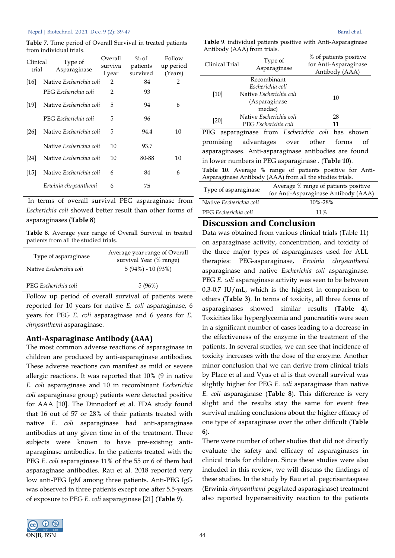**Table 7**. Time period of Overall Survival in treated patients from individual trials.

| Clinical<br>trial | Type of<br>Asparaginase | Overall<br>surviva<br>l year | $\%$ of<br>patients<br>survived | Follow<br>up period<br>(Years) |
|-------------------|-------------------------|------------------------------|---------------------------------|--------------------------------|
| [16]              | Native Escherichia coli | 2                            | 84                              | $\overline{2}$                 |
|                   | PEG Escherichia coli    | 2                            | 93                              |                                |
| [19]              | Native Escherichia coli | 5                            | 94                              | 6                              |
|                   | PEG Escherichia coli    | 5                            | 96                              |                                |
| [26]              | Native Escherichia coli | 5                            | 94.4                            | 10                             |
|                   | Native Escherichia coli | 10                           | 93.7                            |                                |
| [24]              | Native Escherichia coli | 10                           | 80-88                           | 10                             |
| $[15]$            | Native Escherichia coli | 6                            | 84                              | 6                              |
|                   | Erwinia chrysanthemi    | 6                            | 75                              |                                |

In terms of overall survival PEG asparaginase from *Escherichia coli* showed better result than other forms of asparaginases (**Table 8**)

**Table 8**. Average year range of Overall Survival in treated patients from all the studied trials.

| Type of asparaginase    | Average year range of Overall<br>survival Year (% range) |
|-------------------------|----------------------------------------------------------|
| Native Escherichia coli | $5(94\%) - 10(93\%)$                                     |
| PEG Escherichia coli    | 5(96%)                                                   |

Follow up period of overall survival of patients were reported for 10 years for native *E. coli* asparaginase, 6 years for PEG *E. coli* asparaginase and 6 years for *E. chrysanthemi* asparaginase.

## **Anti-Asparaginase Antibody (AAA)**

The most common adverse reactions of asparaginase in children are produced by anti-asparaginase antibodies. These adverse reactions can manifest as mild or severe allergic reactions. It was reported that 10% (9 in native *E. coli* asparaginase and 10 in recombinant *Escherichia coli* asparaginase group) patients were detected positive for AAA [10]. The Dinnodorf et al. FDA study found that 16 out of 57 or 28% of their patients treated with native *E. coli* asparaginase had anti-aparaginase antibodies at any given time in of the treatment. Three subjects were known to have pre-existing antiaparaginase antibodies. In the patients treated with the PEG *E. coli* asparaginase 11% of the 55 or 6 of them had asparaginase antibodies. Rau et al. 2018 reported very low anti-PEG IgM among three patients. Anti-PEG IgG was observed in three patients except one after 5.5-years of exposure to PEG *E. coli* asparaginase [21] (**Table 9**).



|                             |  | Table 9. individual patients positive with Anti-Asparaginase |
|-----------------------------|--|--------------------------------------------------------------|
| Antibody (AAA) from trials. |  |                                                              |

| Clinical Trial                                           | Type of<br>Asparaginase |                      |                                      |  | % of patients positive<br>for Anti-Asparaginase<br>Antibody (AAA) |    |  |
|----------------------------------------------------------|-------------------------|----------------------|--------------------------------------|--|-------------------------------------------------------------------|----|--|
|                                                          | Recombinant             |                      |                                      |  |                                                                   |    |  |
|                                                          | Escherichia coli        |                      |                                      |  |                                                                   |    |  |
| $[10]$                                                   | Native Escherichia coli |                      |                                      |  |                                                                   | 10 |  |
|                                                          | (Asparaginase           |                      |                                      |  |                                                                   |    |  |
|                                                          |                         | medac)               |                                      |  |                                                                   |    |  |
|                                                          | Native Escherichia coli |                      |                                      |  |                                                                   | 28 |  |
| $[20]$                                                   |                         | PEG Escherichia coli |                                      |  |                                                                   | 11 |  |
| PEG asparaginase from Escherichia coli has shown         |                         |                      |                                      |  |                                                                   |    |  |
| other<br>advantages over<br>forms<br>promising           |                         |                      |                                      |  | οf                                                                |    |  |
| asparaginases. Anti-asparaginase antibodies are found    |                         |                      |                                      |  |                                                                   |    |  |
| in lower numbers in PEG asparaginase. (Table 10).        |                         |                      |                                      |  |                                                                   |    |  |
| Table 10. Average % range of patients positive for Anti- |                         |                      |                                      |  |                                                                   |    |  |
| Asparaginase Antibody (AAA) from all the studies trials. |                         |                      |                                      |  |                                                                   |    |  |
|                                                          |                         |                      | Average % range of patients positive |  |                                                                   |    |  |
| Type of asparaginase                                     |                         |                      | for Anti-Asparaginase Antibody (AAA) |  |                                                                   |    |  |
| Native Escherichia coli                                  |                         |                      |                                      |  | 10%-28%                                                           |    |  |
| PEG Escherichia coli                                     |                         | 11%                  |                                      |  |                                                                   |    |  |

# **Discussion and Conclusion**

Data was obtained from various clinical trials (Table 11) on asparaginase activity, concentration, and toxicity of the three major types of asparaginases used for ALL therapies: PEG-asparaginase, *Erwinia chrysanthemi* asparaginase and native *Escherichia coli* asparaginase. PEG *E. coli* asparaginase activity was seen to be between  $0.3$ -0.7 IU/mL, which is the highest in comparison to others (**Table 3**). In terms of toxicity, all three forms of asparaginases showed similar results (**Table 4**). Toxicities like hyperglycemia and pancreatitis were seen in a significant number of cases leading to a decrease in the effectiveness of the enzyme in the treatment of the patients. In several studies, we can see that incidence of toxicity increases with the dose of the enzyme. Another minor conclusion that we can derive from clinical trials by Place et al and Vyas et al is that overall survival was slightly higher for PEG *E. coli* asparaginase than native *E. coli* asparaginase (**Table 8**). This difference is very slight and the results stay the same for event free survival making conclusions about the higher efficacy of one type of asparaginase over the other difficult (**Table 6**).

There were number of other studies that did not directly evaluate the safety and efficacy of asparaginases in clinical trials for children. Since these studies were also included in this review, we will discuss the findings of these studies. In the study by Rau et al. pegcrisantaspase (Erwinia *chrysanthemi* pegylated asparaginase) treatment also reported hypersensitivity reaction to the patients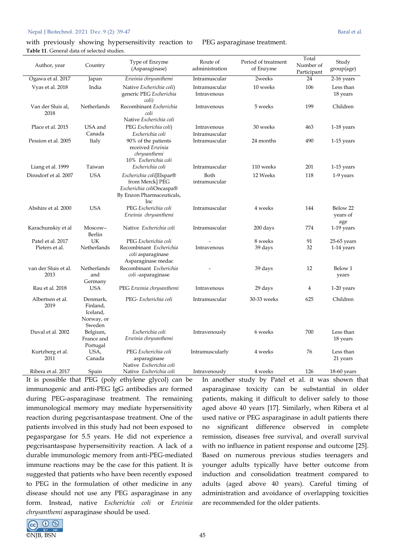with previously showing hypersensitivity reaction to PEG asparaginase treatment. **Table 11**. General data of selected studies.

| Author, year                 | Country                                                  | Type of Enzyme<br>(Asparaginase)                                                                            | Route of<br>administration   | Period of treatment<br>of Enzyme | Total<br>Number of<br>Participant | Study<br>group(age)         |
|------------------------------|----------------------------------------------------------|-------------------------------------------------------------------------------------------------------------|------------------------------|----------------------------------|-----------------------------------|-----------------------------|
| Ogawa et al. 2017            | Japan                                                    | Erwinia chrysanthemi                                                                                        | Intramuscular                | 2weeks                           | 24                                | 2-16 years                  |
| Vyas et al. 2018             | India                                                    | Native Escherichia coli)<br>generic PEG Escherichia<br>coli)                                                | Intramuscular<br>Intravenous | 10 weeks                         | 106                               | Less than<br>18 years       |
| Van der Sluis al,<br>2018    | Netherlands                                              | Recombinant Escherichia<br>coli<br>Native Escherichia coli                                                  | Intravenous                  | 5 weeks                          | 199                               | Children                    |
| Place et al. 2015            | USA and<br>Canada                                        | PEG Escherichia coli)<br>Escherichia coli                                                                   | Intravenous<br>Intramuscular | 30 weeks                         | 463                               | 1-18 years                  |
| Pession et al. 2005          | Italy                                                    | 90% of the patients<br>received Erwinia<br>chrysanthemi<br>10% Escherichia coli                             | Intramuscular                | 24 months                        | 490                               | 1-15 years                  |
| Liang et al. 1999            | Taiwan                                                   | Escherichia coli                                                                                            | Intramuscular                | 110 weeks                        | 201                               | $1-15$ years                |
| Dinndorf et al. 2007         | <b>USA</b>                                               | Escherichia coli[Elspar®<br>from Merck] PEG<br>Escherichia coliOncaspa®<br>By Enzon Pharmaceuticals,<br>Inc | Both<br>intramuscular        | 12 Weeks                         | 118                               | 1-9 years                   |
| Abshire et al. 2000          | <b>USA</b>                                               | PEG Escherichia coli<br>Erwinia chrysanthemi                                                                | Intramuscular                | 4 weeks                          | 144                               | Below 22<br>years of<br>age |
| Karachunskiy et al           | Moscow-<br>Berlin                                        | Native Escherichia coli                                                                                     | Intramuscular                | 200 days                         | 774                               | 1-19 years                  |
| Patel et al. 2017            | UK                                                       | PEG Escherichia coli                                                                                        |                              | 8 weeks                          | 91                                | $25-65$ years               |
| Pieters et al.               | Netherlands                                              | Recombinant Escherichia<br>coli asparaginase<br>Asparaginase medac                                          | Intravenous                  | 39 days                          | 32                                | 1-14 years                  |
| van der Sluis et al.<br>2013 | Netherlands<br>and<br>Germany                            | Recombinant Escherichia<br>coli-asparaginase                                                                |                              | 39 days                          | 12                                | Below 1<br>years            |
| Rau et al. 2018              | <b>USA</b>                                               | PEG Erwinia chrysanthemi                                                                                    | Intravenous                  | 29 days                          | 4                                 | 1-20 years                  |
| Albertsen et al.<br>2019     | Denmark,<br>Finland,<br>Iceland,<br>Norway, or<br>Sweden | PEG-Escherichia coli                                                                                        | Intramuscular                | 30-33 weeks                      | 625                               | Children                    |
| Duval et al. 2002            | Belgium,<br>France and<br>Portugal                       | Escherichia coli<br>Erwinia chrysanthemi                                                                    | Intravenously                | 6 weeks                          | 700                               | Less than<br>18 years       |
| Kurtzberg et al.<br>2011     | USA,<br>Canada                                           | PEG Escherichia coli<br>asparaginase<br>Native Escherichia coli                                             | Intramuscularly              | 4 weeks                          | 76                                | Less than<br>21 years       |
| Ribera et al. 2017           | Spain                                                    | Native Escherichia coli                                                                                     | Intravenously                | 4 weeks                          | 126                               | $18-60$ years               |

It is possible that PEG (poly ethylene glycol) can be immunogenic and anti-PEG IgG antibodies are formed during PEG-asparaginase treatment. The remaining immunological memory may mediate hypersensitivity reaction during pegcrisantaspase treatment. One of the patients involved in this study had not been exposed to pegaspargase for 5.5 years. He did not experience a pegcrisantaspase hypersensitivity reaction. A lack of a durable immunologic memory from anti-PEG-mediated immune reactions may be the case for this patient. It is suggested that patients who have been recently exposed to PEG in the formulation of other medicine in any disease should not use any PEG asparaginase in any form. Instead, native *Escherichia coli* or *Erwinia chrysanthemi* asparaginase should be used.

In another study by Patel et al. it was shown that asparaginase toxicity can be substantial in older patients, making it difficult to deliver safely to those aged above 40 years [17]. Similarly, when Ribera et al used native or PEG asparaginase in adult patients there no significant difference observed in complete remission, diseases free survival, and overall survival with no influence in patient response and outcome [25]. Based on numerous previous studies teenagers and younger adults typically have better outcome from induction and consolidation treatment compared to adults (aged above 40 years). Careful timing of administration and avoidance of overlapping toxicities are recommended for the older patients.

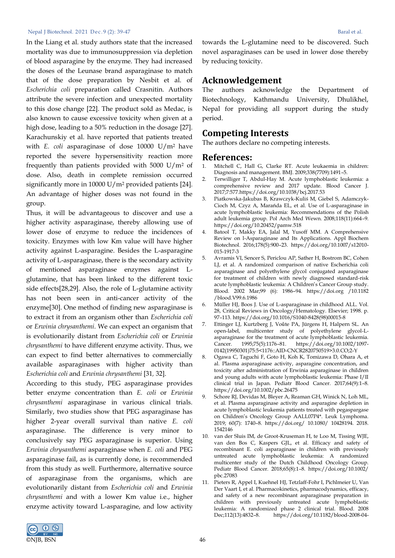In the Liang et al. study authors state that the increased mortality was due to immunosuppression via depletion of blood asparagine by the enzyme. They had increased the doses of the Leunase brand asparaginase to match that of the dose preparation by Nesbit et al. of *Escherichia coli* preparation called Crasnitin. Authors attribute the severe infection and unexpected mortality to this dose change [22]. The product sold as Medac, is also known to cause excessive toxicity when given at a high dose, leading to a 50% reduction in the dosage [27]. Karachunskiy et al. have reported that patients treated with *E. coli* asparaginase of dose 10000 U/m2 have reported the severe hypersensitivity reaction more frequently than patients provided with 5000  $U/m^2$  of dose. Also, death in complete remission occurred significantly more in 10000 U/m<sup>2</sup> provided patients [24]. An advantage of higher doses was not found in the group.

Thus, it will be advantageous to discover and use a higher activity asparaginase, thereby allowing use of lower dose of enzyme to reduce the incidences of toxicity. Enzymes with low Km value will have higher activity against L-asparagine. Besides the L-asparagine activity of L-asparaginase, there is the secondary activity of mentioned asparaginase enzymes against Lglutamine, that has been linked to the different toxic side effects[28,29]. Also, the role of L-glutamine activity has not been seen in anti-cancer activity of the enzyme[30]. One method of finding new asparaginase is to extract it from an organism other than *Escherichia coli* or *Erwinia chrysanthemi*. We can expect an organism that is evolutionarily distant from *Escherichia coli* or *Erwinia chrysanthemi* to have different enzyme activity. Thus, we can expect to find better alternatives to commercially available asparaginases with higher activity than *Escherichia coli* and *Erwinia chrysanthemi* [31*,* 32].

According to this study, PEG asparaginase provides better enzyme concentration than *E. coli* or *Erwinia chrysanthemi* asparaginase in various clinical trials. Similarly, two studies show that PEG asparaginase has higher 2-year overall survival than native *E. coli* asparaginase. The difference is very minor to conclusively say PEG asparaginase is superior. Using *Erwinia chrysanthemi* asparaginase when *E. coli* and PEG asparaginase fail, as is currently done, is recommended from this study as well. Furthermore, alternative source of asparaginase from the organisms, which are evolutionarily distant from *Escherichia coli* and *Erwinia chrysanthemi* and with a lower Km value i.e., higher enzyme activity toward L-asparagine, and low activity

towards the L-glutamine need to be discovered. Such novel asparaginases can be used in lower dose thereby by reducing toxicity.

# **Acknowledgement**

The authors acknowledge the Department of Biotechnology, Kathmandu University, Dhulikhel, Nepal for providing all support during the study period.

# **Competing Interests**

The authors declare no competing interests.

# **References:**

- 1. Mitchell C, Hall G, Clarke RT. Acute leukaemia in children: Diagnosis and management. BMJ. 2009;338(7709):1491–5.
- 2. Terwilliger T, Abdul-Hay M. Acute lymphoblastic leukemia: a comprehensive review and 2017 update. Blood Cancer J. 2017;7:577[.https://doi.org/10.1038/bcj.2017.53](https://doi.org/10.1038/bcj.2017.53)
- 3. Piatkowska-Jakubas B, Krawczyk-Kuliś M, Giebel S, Adamczyk-Cioch M, Czyz A, Marańda EL, et al. Use of L-asparaginase in acute lymphoblastic leukemia: Recommendations of the Polish adult leukemia group. Pol Arch Med Wewn. 2008;118(11):664–9. <https://doi.org/10.20452/pamw.518>
- 4. Batool T, Makky EA, Jalal M, Yusoff MM. A Comprehensive Review on l-Asparaginase and Its Applications. Appl Biochem Biotechnol. 2016;178(5):900–23. [https://doi.org/10.1007/s12010-](https://doi.org/10.1007/s12010-015-1917-3) [015-1917-3](https://doi.org/10.1007/s12010-015-1917-3)
- 5. Avramis VI, Sencer S, Periclou AP, Sather H, Bostrom BC, Cohen LJ, et al. A randomized comparison of native Escherichia coli asparaginase and polyethylene glycol conjugated asparaginase for treatment of children with newly diagnosed standard-risk acute lymphoblastic leukemia: A Children's Cancer Group study. Blood. 2002 Mar;99 (6): 1986–94. https://doi.org /10.1182 /blood.V99.6.1986
- 6. Müller HJ, Boos J. Use of L-asparaginase in childhood ALL. Vol. 28, Critical Reviews in Oncology/Hematology. Elsevier; 1998. p. 97–113. [https://doi.org/10.1016/S1040-8428\(98\)00015-8](https://doi.org/10.1016/S1040-8428(98)00015-8)
- 7. Ettinger LJ, Kurtzberg J, Voǔte PA, Jürgens H, Halpern SL. An open‐label, multicenter study of polyethylene glycol‐L‐ asparaginase for the treatment of acute lymphoblastic leukemia.<br>Cancer. 1995;75(5):1176-81. https://doi.org/10.1002/1097-Cancer. 1995;75(5):1176–81. [https://doi.org/10.1002/1097-](https://doi.org/10.1002/1097-0142(19950301)75:5%3C1176::AID-CNCR2820750519%3E3.0.CO;2-Y) [0142\(19950301\)75:5<1176::AID-CNCR2820750519>3.0.CO;2-Y](https://doi.org/10.1002/1097-0142(19950301)75:5%3C1176::AID-CNCR2820750519%3E3.0.CO;2-Y)
- 8. Ogawa C, Taguchi F, Goto H, Koh K, Tomizawa D, Ohara A, et al. Plasma asparaginase activity, asparagine concentration, and toxicity after administration of Erwinia asparaginase in children and young adults with acute lymphoblastic leukemia: Phase I/II clinical trial in Japan. Pediatr Blood Cancer. 2017;64(9):1–8. <https://doi.org/10.1002/pbc.26475>
- 9. Schore RJ, Devidas M, Bleyer A, Reaman GH, Winick N, Loh ML, et al. Plasma asparaginase activity and asparagine depletion in acute lymphoblastic leukemia patients treated with pegaspargase on Children's Oncology Group AALL07P4\*. Leuk Lymphoma. 2019; 60(7): 1740–8. https://doi.org/ 10.1080/ 10428194. 2018. 1542146
- 10. van der Sluis IM, de Groot-Kruseman H, te Loo M, Tissing WJE, van den Bos C, Kaspers GJL, et al. Efficacy and safety of recombinant E. coli asparaginase in children with previously untreated acute lymphoblastic leukemia: A randomized multicenter study of the Dutch Childhood Oncology Group. Pediatr Blood Cancer. 2018;65(8):1–8. [https://doi.org/10.1002/](https://doi.org/10.1002/pbc.27083) [pbc.27083](https://doi.org/10.1002/pbc.27083)
- 11. Pieters R, Appel I, Kuehnel HJ, Tetzlaff-Fohr I, Pichlmeier U, Van Der Vaart I, et al. Pharmacokinetics, pharmacodynamics, efficacy, and safety of a new recombinant asparaginase preparation in children with previously untreated acute lymphoblastic leukemia: A randomized phase 2 clinical trial. Blood. 2008 Dec;112(13):4832–8. [https://doi.org/10.1182/blood-2008-04-](https://doi.org/10.1182/blood-2008-04-149443)